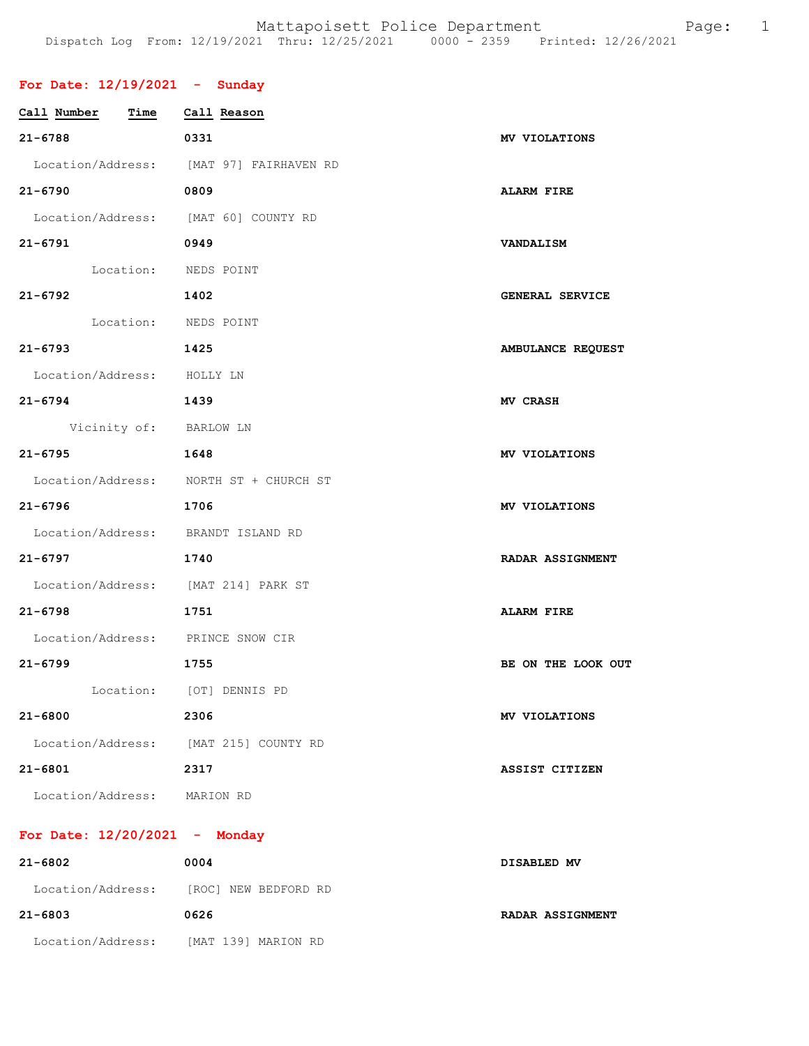## **For Date: 12/19/2021 - Sunday**

| Call Number<br>Time                   | Call Reason                             |                         |
|---------------------------------------|-----------------------------------------|-------------------------|
| $21 - 6788$                           | 0331                                    | MV VIOLATIONS           |
|                                       | Location/Address: [MAT 97] FAIRHAVEN RD |                         |
| $21 - 6790$                           | 0809                                    | <b>ALARM FIRE</b>       |
| Location/Address: [MAT 60] COUNTY RD  |                                         |                         |
| $21 - 6791$                           | 0949                                    | <b>VANDALISM</b>        |
| Location: NEDS POINT                  |                                         |                         |
| $21 - 6792$                           | 1402                                    | GENERAL SERVICE         |
| Location: NEDS POINT                  |                                         |                         |
| $21 - 6793$                           | 1425                                    | AMBULANCE REQUEST       |
| Location/Address: HOLLY LN            |                                         |                         |
| $21 - 6794$                           | 1439                                    | <b>MV CRASH</b>         |
| Vicinity of: BARLOW LN                |                                         |                         |
| $21 - 6795$                           | 1648                                    | MV VIOLATIONS           |
|                                       | Location/Address: NORTH ST + CHURCH ST  |                         |
| $21 - 6796$                           | 1706                                    | MV VIOLATIONS           |
| Location/Address: BRANDT ISLAND RD    |                                         |                         |
| $21 - 6797$                           | 1740                                    | <b>RADAR ASSIGNMENT</b> |
| Location/Address: [MAT 214] PARK ST   |                                         |                         |
| $21 - 6798$                           | 1751                                    | <b>ALARM FIRE</b>       |
| Location/Address: PRINCE SNOW CIR     |                                         |                         |
| $21 - 6799$                           | 1755                                    | BE ON THE LOOK OUT      |
|                                       | Location: [OT] DENNIS PD                |                         |
| $21 - 6800$                           | 2306                                    | MV VIOLATIONS           |
| Location/Address: [MAT 215] COUNTY RD |                                         |                         |
| $21 - 6801$                           | 2317                                    | ASSIST CITIZEN          |
| Location/Address: MARION RD           |                                         |                         |

## **For Date: 12/20/2021 - Monday**

| 21-6802           | 0004                                   | DISABLED MV      |
|-------------------|----------------------------------------|------------------|
|                   | Location/Address: [ROC] NEW BEDFORD RD |                  |
| 21-6803           | 0626                                   | RADAR ASSIGNMENT |
| Location/Address: | [MAT 139] MARION RD                    |                  |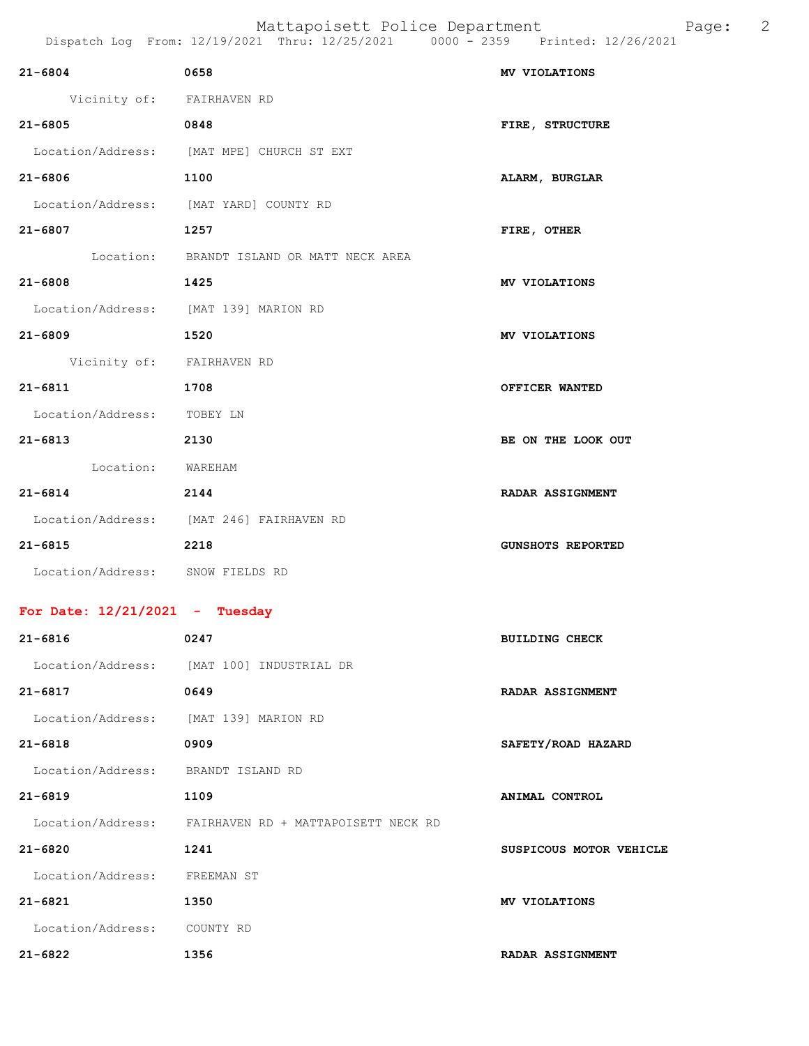|                                    | Dispatch Log From: 12/19/2021 Thru: 12/25/2021 0000 - 2359 Printed: 12/26/2021 |                          |
|------------------------------------|--------------------------------------------------------------------------------|--------------------------|
| $21 - 6804$                        | 0658                                                                           | MV VIOLATIONS            |
| Vicinity of: FAIRHAVEN RD          |                                                                                |                          |
| $21 - 6805$                        | 0848                                                                           | FIRE, STRUCTURE          |
|                                    | Location/Address: [MAT MPE] CHURCH ST EXT                                      |                          |
| 21-6806                            | 1100                                                                           | ALARM, BURGLAR           |
|                                    | Location/Address: [MAT YARD] COUNTY RD                                         |                          |
| $21 - 6807$                        | 1257                                                                           | FIRE, OTHER              |
|                                    | Location: BRANDT ISLAND OR MATT NECK AREA                                      |                          |
| 21-6808                            | 1425                                                                           | MV VIOLATIONS            |
|                                    | Location/Address: [MAT 139] MARION RD                                          |                          |
| $21 - 6809$                        | 1520                                                                           | MV VIOLATIONS            |
| Vicinity of: FAIRHAVEN RD          |                                                                                |                          |
| $21 - 6811$                        | 1708                                                                           | OFFICER WANTED           |
| Location/Address: TOBEY LN         |                                                                                |                          |
| 21-6813                            | 2130                                                                           | BE ON THE LOOK OUT       |
| Location: WAREHAM                  |                                                                                |                          |
| 21-6814                            | 2144                                                                           | <b>RADAR ASSIGNMENT</b>  |
|                                    | Location/Address: [MAT 246] FAIRHAVEN RD                                       |                          |
| $21 - 6815$                        | 2218                                                                           | <b>GUNSHOTS REPORTED</b> |
| Location/Address: SNOW FIELDS RD   |                                                                                |                          |
| For Date: $12/21/2021$ - Tuesday   |                                                                                |                          |
| $21 - 6816$                        | 0247                                                                           | <b>BUILDING CHECK</b>    |
|                                    | Location/Address: [MAT 100] INDUSTRIAL DR                                      |                          |
| $21 - 6817$                        | 0649                                                                           | <b>RADAR ASSIGNMENT</b>  |
|                                    | Location/Address: [MAT 139] MARION RD                                          |                          |
| $21 - 6818$                        | 0909                                                                           | SAFETY/ROAD HAZARD       |
| Location/Address: BRANDT ISLAND RD |                                                                                |                          |
| $21 - 6819$                        | 1109                                                                           | ANIMAL CONTROL           |
| Location/Address:                  | FAIRHAVEN RD + MATTAPOISETT NECK RD                                            |                          |
| 21-6820                            | 1241                                                                           | SUSPICOUS MOTOR VEHICLE  |
| Location/Address: FREEMAN ST       |                                                                                |                          |
| $21 - 6821$                        | 1350                                                                           | MV VIOLATIONS            |

Location/Address: COUNTY RD

**21-6822 1356 RADAR ASSIGNMENT**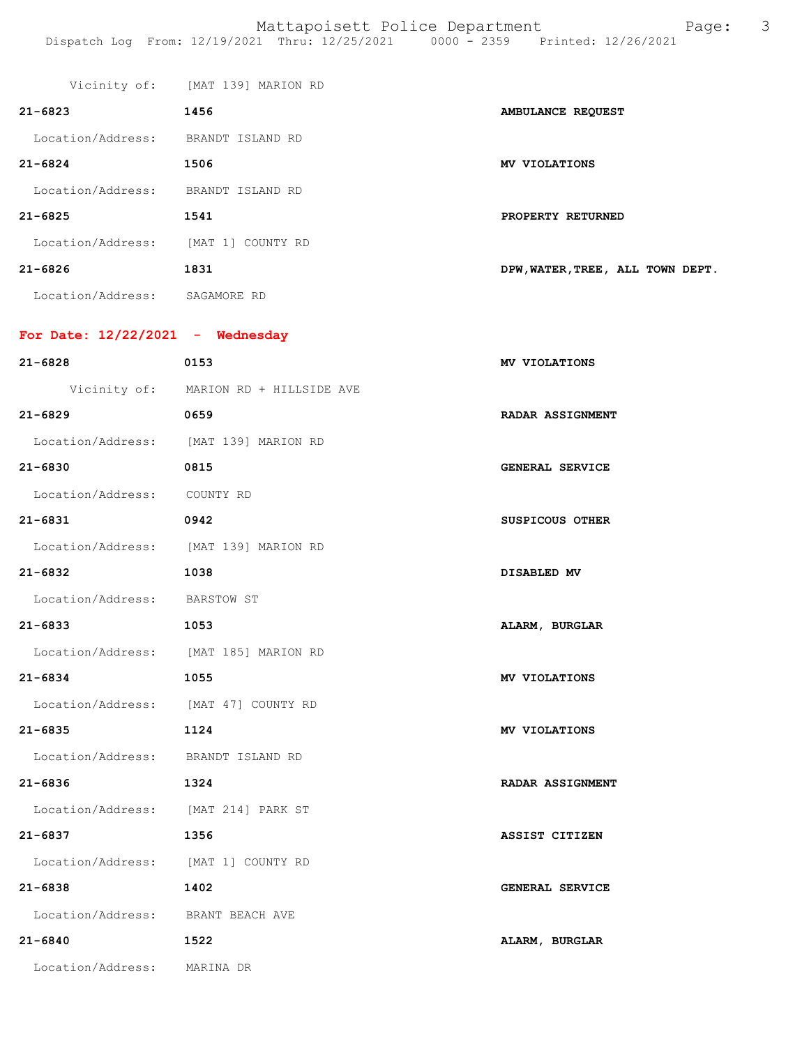|                                       | Vicinity of: [MAT 139] MARION RD      |                                  |
|---------------------------------------|---------------------------------------|----------------------------------|
| $21 - 6823$                           | 1456                                  | AMBULANCE REQUEST                |
| Location/Address: BRANDT ISLAND RD    |                                       |                                  |
| $21 - 6824$                           | 1506                                  | MV VIOLATIONS                    |
| Location/Address: BRANDT ISLAND RD    |                                       |                                  |
| $21 - 6825$                           | 1541                                  | PROPERTY RETURNED                |
| Location/Address: [MAT 1] COUNTY RD   |                                       |                                  |
| $21 - 6826$                           | 1831                                  | DPW, WATER, TREE, ALL TOWN DEPT. |
| Location/Address: SAGAMORE RD         |                                       |                                  |
| For Date: $12/22/2021$ - Wednesday    |                                       |                                  |
| $21 - 6828$                           | 0153                                  | MV VIOLATIONS                    |
|                                       | Vicinity of: MARION RD + HILLSIDE AVE |                                  |
| $21 - 6829$                           | 0659                                  | <b>RADAR ASSIGNMENT</b>          |
| Location/Address: [MAT 139] MARION RD |                                       |                                  |
| $21 - 6830$                           | 0815                                  | <b>GENERAL SERVICE</b>           |
| Location/Address: COUNTY RD           |                                       |                                  |
|                                       |                                       |                                  |
| 21-6831                               | 0942                                  | SUSPICOUS OTHER                  |
| Location/Address: [MAT 139] MARION RD |                                       |                                  |
| 21-6832                               | 1038                                  | DISABLED MV                      |
| Location/Address: BARSTOW ST          |                                       |                                  |
| 21-6833                               | 1053                                  | ALARM, BURGLAR                   |
| Location/Address: [MAT 185] MARION RD |                                       |                                  |
| 21-6834                               | 1055                                  | MV VIOLATIONS                    |
| Location/Address: [MAT 47] COUNTY RD  |                                       |                                  |
| 21-6835                               | 1124                                  | MV VIOLATIONS                    |
| Location/Address: BRANDT ISLAND RD    |                                       |                                  |
| 21-6836                               | 1324                                  | <b>RADAR ASSIGNMENT</b>          |
| Location/Address: [MAT 214] PARK ST   |                                       |                                  |
| 21-6837                               | 1356                                  | ASSIST CITIZEN                   |
| Location/Address: [MAT 1] COUNTY RD   |                                       |                                  |
| 21-6838                               | 1402                                  | GENERAL SERVICE                  |
| Location/Address: BRANT BEACH AVE     |                                       |                                  |
| 21-6840                               | 1522                                  | ALARM, BURGLAR                   |
| Location/Address: MARINA DR           |                                       |                                  |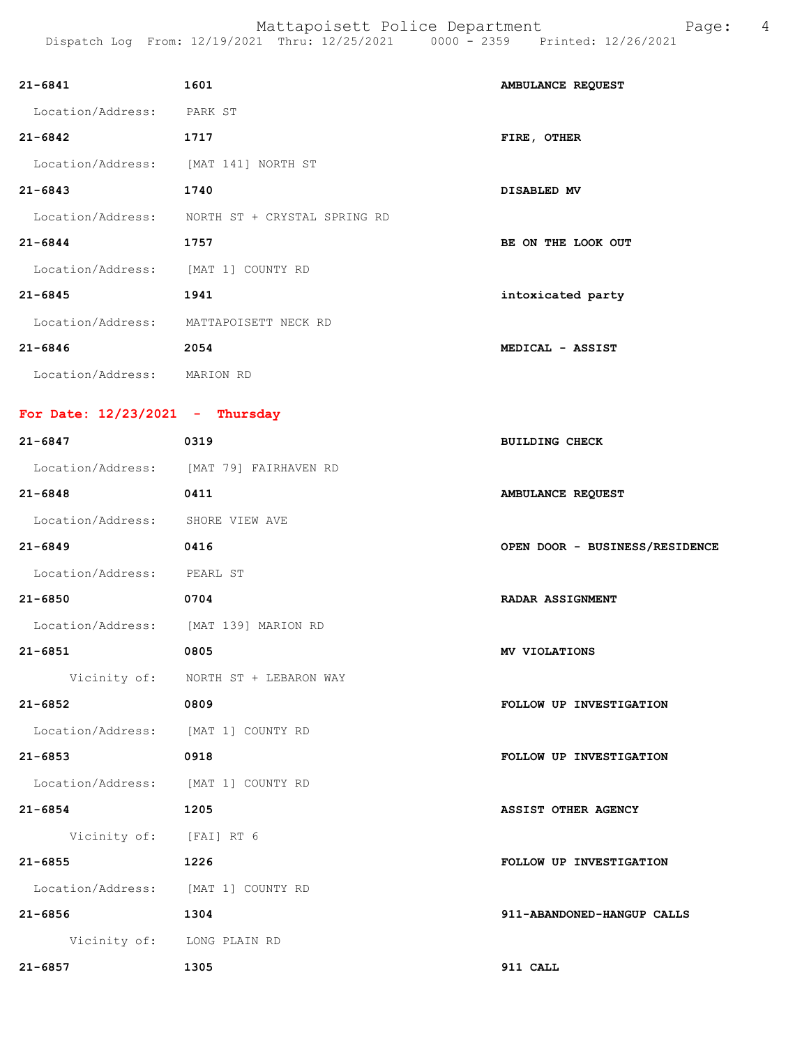| $21 - 6841$                           | 1601                                           | AMBULANCE REQUEST              |
|---------------------------------------|------------------------------------------------|--------------------------------|
| Location/Address: PARK ST             |                                                |                                |
| $21 - 6842$                           | 1717                                           | FIRE, OTHER                    |
| Location/Address: [MAT 141] NORTH ST  |                                                |                                |
| $21 - 6843$                           | 1740                                           | DISABLED MV                    |
|                                       | Location/Address: NORTH ST + CRYSTAL SPRING RD |                                |
| $21 - 6844$                           | 1757                                           | BE ON THE LOOK OUT             |
| Location/Address: [MAT 1] COUNTY RD   |                                                |                                |
| $21 - 6845$                           | 1941                                           | intoxicated party              |
|                                       | Location/Address: MATTAPOISETT NECK RD         |                                |
| $21 - 6846$                           | 2054                                           | MEDICAL - ASSIST               |
| Location/Address: MARION RD           |                                                |                                |
| For Date: $12/23/2021$ - Thursday     |                                                |                                |
| $21 - 6847$                           | 0319                                           | <b>BUILDING CHECK</b>          |
|                                       | Location/Address: [MAT 79] FAIRHAVEN RD        |                                |
| $21 - 6848$                           | 0411                                           | AMBULANCE REQUEST              |
| Location/Address: SHORE VIEW AVE      |                                                |                                |
| $21 - 6849$                           | 0416                                           | OPEN DOOR - BUSINESS/RESIDENCE |
| Location/Address: PEARL ST            |                                                |                                |
| $21 - 6850$                           | 0704                                           | <b>RADAR ASSIGNMENT</b>        |
| Location/Address: [MAT 139] MARION RD |                                                |                                |
| $21 - 6851$                           | 0805                                           | MV VIOLATIONS                  |
|                                       | Vicinity of: NORTH ST + LEBARON WAY            |                                |
| 21-6852                               | 0809                                           | FOLLOW UP INVESTIGATION        |
| Location/Address: [MAT 1] COUNTY RD   |                                                |                                |
| $21 - 6853$                           | 0918                                           | FOLLOW UP INVESTIGATION        |
| Location/Address: [MAT 1] COUNTY RD   |                                                |                                |
| $21 - 6854$                           | 1205                                           | <b>ASSIST OTHER AGENCY</b>     |
| Vicinity of: [FAI] RT 6               |                                                |                                |
| $21 - 6855$                           | 1226                                           | FOLLOW UP INVESTIGATION        |
| Location/Address: [MAT 1] COUNTY RD   |                                                |                                |
| $21 - 6856$                           | 1304                                           | 911-ABANDONED-HANGUP CALLS     |
| Vicinity of: LONG PLAIN RD            |                                                |                                |
| $21 - 6857$                           | 1305                                           | 911 CALL                       |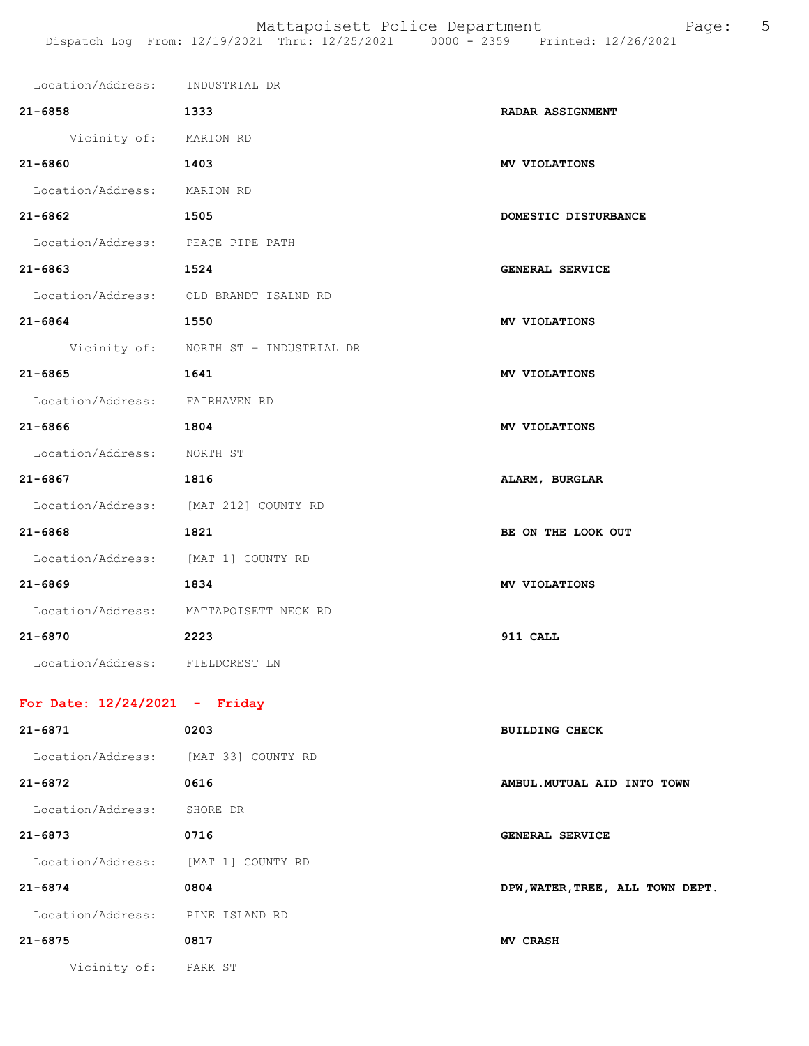| Location/Address: INDUSTRIAL DR     |                                        |                         |
|-------------------------------------|----------------------------------------|-------------------------|
| $21 - 6858$                         | 1333                                   | <b>RADAR ASSIGNMENT</b> |
| Vicinity of: MARION RD              |                                        |                         |
| $21 - 6860$                         | 1403                                   | MV VIOLATIONS           |
| Location/Address: MARION RD         |                                        |                         |
| $21 - 6862$                         | 1505                                   | DOMESTIC DISTURBANCE    |
| Location/Address: PEACE PIPE PATH   |                                        |                         |
| $21 - 6863$                         | 1524                                   | GENERAL SERVICE         |
|                                     | Location/Address: OLD BRANDT ISALND RD |                         |
| $21 - 6864$                         | 1550                                   | MV VIOLATIONS           |
|                                     | Vicinity of: NORTH ST + INDUSTRIAL DR  |                         |
| $21 - 6865$                         | 1641                                   | MV VIOLATIONS           |
| Location/Address: FAIRHAVEN RD      |                                        |                         |
| $21 - 6866$                         | 1804                                   | MV VIOLATIONS           |
| Location/Address: NORTH ST          |                                        |                         |
| $21 - 6867$                         | 1816                                   | ALARM, BURGLAR          |
|                                     | Location/Address: [MAT 212] COUNTY RD  |                         |
| $21 - 6868$                         | 1821                                   | BE ON THE LOOK OUT      |
| Location/Address: [MAT 1] COUNTY RD |                                        |                         |
| $21 - 6869$                         | 1834                                   | MV VIOLATIONS           |
|                                     | Location/Address: MATTAPOISETT NECK RD |                         |
| $21 - 6870$                         | 2223                                   | 911 CALL                |
| Location/Address: FIELDCREST LN     |                                        |                         |
|                                     |                                        |                         |

## **For Date: 12/24/2021 - Friday**

| $21 - 6871$       | 0203               | <b>BUILDING CHECK</b>            |
|-------------------|--------------------|----------------------------------|
| Location/Address: | [MAT 33] COUNTY RD |                                  |
| $21 - 6872$       | 0616               | AMBUL. MUTUAL AID INTO TOWN      |
| Location/Address: | SHORE DR           |                                  |
| $21 - 6873$       | 0716               | <b>GENERAL SERVICE</b>           |
| Location/Address: | [MAT 1] COUNTY RD  |                                  |
| $21 - 6874$       | 0804               | DPW, WATER, TREE, ALL TOWN DEPT. |
| Location/Address: | PINE ISLAND RD     |                                  |
| $21 - 6875$       | 0817               | MV CRASH                         |
| Vicinity of:      | PARK ST            |                                  |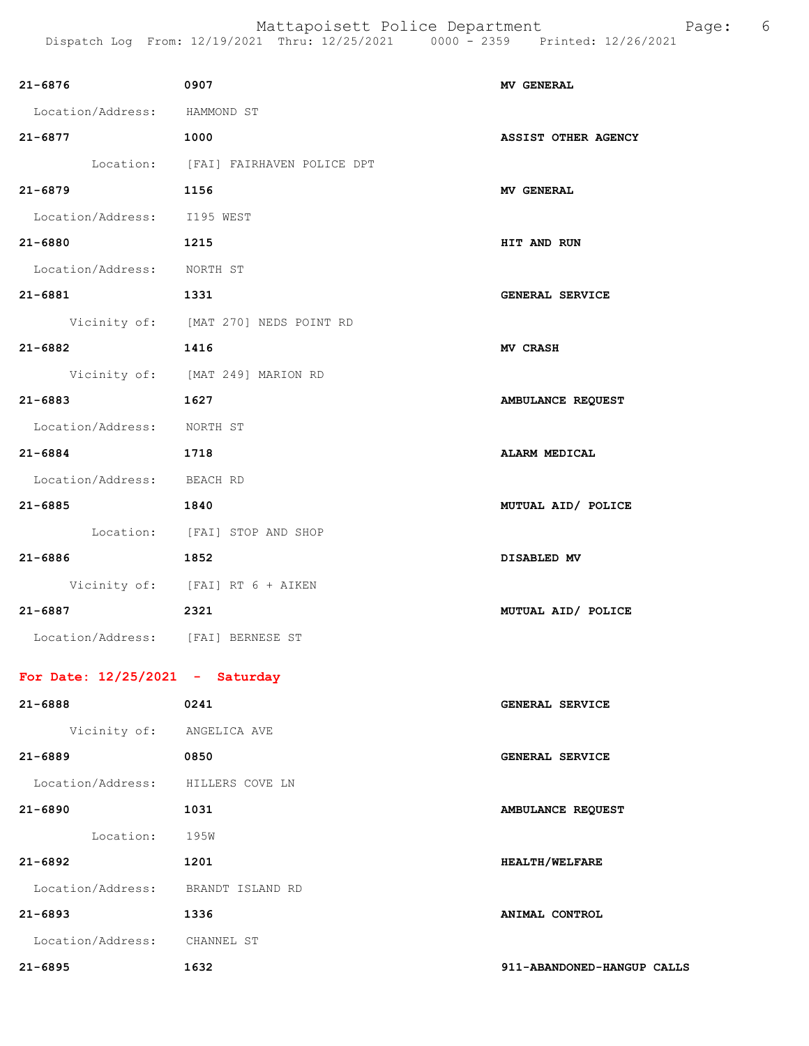| 21-6876 0907                       |                                      | <b>MV GENERAL</b>          |
|------------------------------------|--------------------------------------|----------------------------|
| Location/Address: HAMMOND ST       |                                      |                            |
| 21-6877 1000                       |                                      | <b>ASSIST OTHER AGENCY</b> |
|                                    | Location: [FAI] FAIRHAVEN POLICE DPT |                            |
| $21 - 6879$                        | 1156                                 | <b>MV GENERAL</b>          |
| Location/Address: I195 WEST        |                                      |                            |
| 1215<br>21-6880                    |                                      | HIT AND RUN                |
| Location/Address: NORTH ST         |                                      |                            |
| 21-6881 1331                       |                                      | <b>GENERAL SERVICE</b>     |
|                                    | Vicinity of: [MAT 270] NEDS POINT RD |                            |
| $21 - 6882$                        | 1416                                 | <b>MV CRASH</b>            |
|                                    | Vicinity of: [MAT 249] MARION RD     |                            |
| 1627<br>21-6883                    |                                      | AMBULANCE REQUEST          |
| Location/Address: NORTH ST         |                                      |                            |
| 21-6884 1718                       |                                      | <b>ALARM MEDICAL</b>       |
| Location/Address: BEACH RD         |                                      |                            |
| 21-6885                            | 1840                                 | MUTUAL AID/ POLICE         |
|                                    | Location: [FAI] STOP AND SHOP        |                            |
| 21-6886 1852                       |                                      | DISABLED MV                |
|                                    | Vicinity of: [FAI] RT 6 + AIKEN      |                            |
| 21-6887 2321                       |                                      | MUTUAL AID/ POLICE         |
| Location/Address: [FAI] BERNESE ST |                                      |                            |
| For Date: $12/25/2021$ - Saturday  |                                      |                            |
| $21 - 6888$                        | 0241                                 | GENERAL SERVICE            |
| Vicinity of: ANGELICA AVE          |                                      |                            |
| 21-6889                            | 0850                                 | GENERAL SERVICE            |
| Location/Address: HILLERS COVE LN  |                                      |                            |
| 21-6890                            | 1031                                 | AMBULANCE REQUEST          |
| Location: 195W                     |                                      |                            |
| 21-6892                            | 1201                                 | <b>HEALTH/WELFARE</b>      |
| Location/Address: BRANDT ISLAND RD |                                      |                            |
| 21-6893                            | 1336                                 | ANIMAL CONTROL             |
| Location/Address: CHANNEL ST       |                                      |                            |
| 21-6895                            | 1632                                 | 911-ABANDONED-HANGUP CALLS |